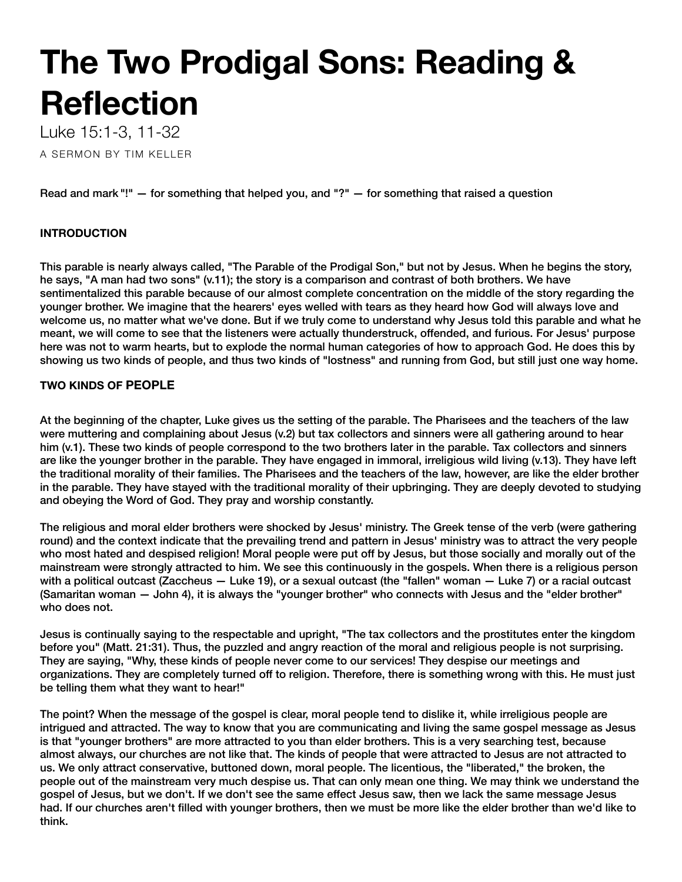# **The Two Prodigal Sons: Reading & Reflection**

Luke 15:1-3, 11-32

A SERMON BY TIM KELLER

Read and mark "!" — for something that helped you, and "?" — for something that raised a question

# **INTRODUCTION**

This parable is nearly always called, "The Parable of the Prodigal Son," but not by Jesus. When he begins the story, he says, "A man had two sons" (v.11); the story is a comparison and contrast of both brothers. We have sentimentalized this parable because of our almost complete concentration on the middle of the story regarding the younger brother. We imagine that the hearers' eyes welled with tears as they heard how God will always love and welcome us, no matter what we've done. But if we truly come to understand why Jesus told this parable and what he meant, we will come to see that the listeners were actually thunderstruck, offended, and furious. For Jesus' purpose here was not to warm hearts, but to explode the normal human categories of how to approach God. He does this by showing us two kinds of people, and thus two kinds of "lostness" and running from God, but still just one way home.

# **TWO KINDS OF PEOPLE**

At the beginning of the chapter, Luke gives us the setting of the parable. The Pharisees and the teachers of the law were muttering and complaining about Jesus (v.2) but tax collectors and sinners were all gathering around to hear him (v.1). These two kinds of people correspond to the two brothers later in the parable. Tax collectors and sinners are like the younger brother in the parable. They have engaged in immoral, irreligious wild living (v.13). They have left the traditional morality of their families. The Pharisees and the teachers of the law, however, are like the elder brother in the parable. They have stayed with the traditional morality of their upbringing. They are deeply devoted to studying and obeying the Word of God. They pray and worship constantly.

The religious and moral elder brothers were shocked by Jesus' ministry. The Greek tense of the verb (were gathering round) and the context indicate that the prevailing trend and pattern in Jesus' ministry was to attract the very people who most hated and despised religion! Moral people were put off by Jesus, but those socially and morally out of the mainstream were strongly attracted to him. We see this continuously in the gospels. When there is a religious person with a political outcast (Zaccheus — Luke 19), or a sexual outcast (the "fallen" woman — Luke 7) or a racial outcast (Samaritan woman — John 4), it is always the "younger brother" who connects with Jesus and the "elder brother" who does not.

Jesus is continually saying to the respectable and upright, "The tax collectors and the prostitutes enter the kingdom before you" (Matt. 21:31). Thus, the puzzled and angry reaction of the moral and religious people is not surprising. They are saying, "Why, these kinds of people never come to our services! They despise our meetings and organizations. They are completely turned off to religion. Therefore, there is something wrong with this. He must just be telling them what they want to hear!"

The point? When the message of the gospel is clear, moral people tend to dislike it, while irreligious people are intrigued and attracted. The way to know that you are communicating and living the same gospel message as Jesus is that "younger brothers" are more attracted to you than elder brothers. This is a very searching test, because almost always, our churches are not like that. The kinds of people that were attracted to Jesus are not attracted to us. We only attract conservative, buttoned down, moral people. The licentious, the "liberated," the broken, the people out of the mainstream very much despise us. That can only mean one thing. We may think we understand the gospel of Jesus, but we don't. If we don't see the same effect Jesus saw, then we lack the same message Jesus had. If our churches aren't filled with younger brothers, then we must be more like the elder brother than we'd like to think.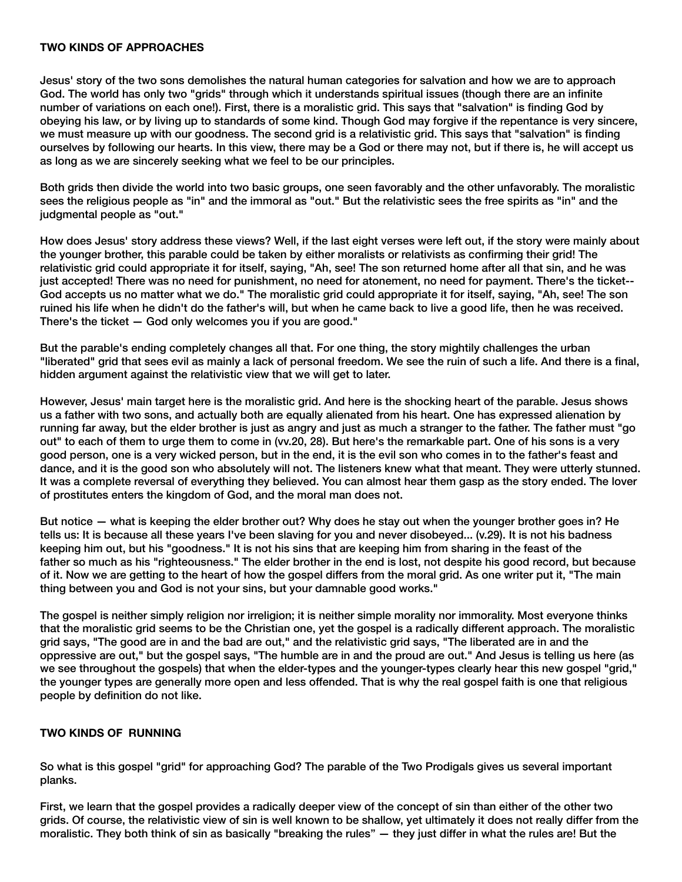#### **TWO KINDS OF APPROACHES**

Jesus' story of the two sons demolishes the natural human categories for salvation and how we are to approach God. The world has only two "grids" through which it understands spiritual issues (though there are an infinite number of variations on each one!). First, there is a moralistic grid. This says that "salvation" is finding God by obeying his law, or by living up to standards of some kind. Though God may forgive if the repentance is very sincere, we must measure up with our goodness. The second grid is a relativistic grid. This says that "salvation" is finding ourselves by following our hearts. In this view, there may be a God or there may not, but if there is, he will accept us as long as we are sincerely seeking what we feel to be our principles.

Both grids then divide the world into two basic groups, one seen favorably and the other unfavorably. The moralistic sees the religious people as "in" and the immoral as "out." But the relativistic sees the free spirits as "in" and the judgmental people as "out."

How does Jesus' story address these views? Well, if the last eight verses were left out, if the story were mainly about the younger brother, this parable could be taken by either moralists or relativists as confirming their grid! The relativistic grid could appropriate it for itself, saying, "Ah, see! The son returned home after all that sin, and he was just accepted! There was no need for punishment, no need for atonement, no need for payment. There's the ticket-- God accepts us no matter what we do." The moralistic grid could appropriate it for itself, saying, "Ah, see! The son ruined his life when he didn't do the father's will, but when he came back to live a good life, then he was received. There's the ticket — God only welcomes you if you are good."

But the parable's ending completely changes all that. For one thing, the story mightily challenges the urban "liberated" grid that sees evil as mainly a lack of personal freedom. We see the ruin of such a life. And there is a final, hidden argument against the relativistic view that we will get to later.

However, Jesus' main target here is the moralistic grid. And here is the shocking heart of the parable. Jesus shows us a father with two sons, and actually both are equally alienated from his heart. One has expressed alienation by running far away, but the elder brother is just as angry and just as much a stranger to the father. The father must "go out" to each of them to urge them to come in (vv.20, 28). But here's the remarkable part. One of his sons is a very good person, one is a very wicked person, but in the end, it is the evil son who comes in to the father's feast and dance, and it is the good son who absolutely will not. The listeners knew what that meant. They were utterly stunned. It was a complete reversal of everything they believed. You can almost hear them gasp as the story ended. The lover of prostitutes enters the kingdom of God, and the moral man does not.

But notice — what is keeping the elder brother out? Why does he stay out when the younger brother goes in? He tells us: It is because all these years I've been slaving for you and never disobeyed... (v.29). It is not his badness keeping him out, but his "goodness." It is not his sins that are keeping him from sharing in the feast of the father so much as his "righteousness." The elder brother in the end is lost, not despite his good record, but because of it. Now we are getting to the heart of how the gospel differs from the moral grid. As one writer put it, "The main thing between you and God is not your sins, but your damnable good works."

The gospel is neither simply religion nor irreligion; it is neither simple morality nor immorality. Most everyone thinks that the moralistic grid seems to be the Christian one, yet the gospel is a radically different approach. The moralistic grid says, "The good are in and the bad are out," and the relativistic grid says, "The liberated are in and the oppressive are out," but the gospel says, "The humble are in and the proud are out." And Jesus is telling us here (as we see throughout the gospels) that when the elder-types and the younger-types clearly hear this new gospel "grid," the younger types are generally more open and less offended. That is why the real gospel faith is one that religious people by definition do not like.

#### **TWO KINDS OF RUNNING**

So what is this gospel "grid" for approaching God? The parable of the Two Prodigals gives us several important planks.

First, we learn that the gospel provides a radically deeper view of the concept of sin than either of the other two grids. Of course, the relativistic view of sin is well known to be shallow, yet ultimately it does not really differ from the moralistic. They both think of sin as basically "breaking the rules" — they just differ in what the rules are! But the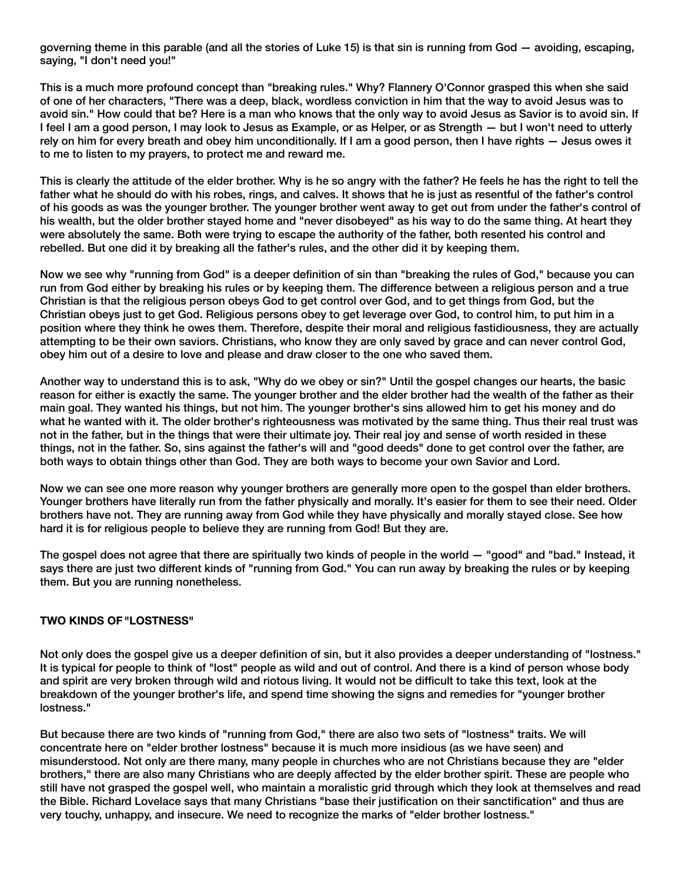governing theme in this parable (and all the stories of Luke 15) is that sin is running from God — avoiding, escaping, saying, "I don't need you!"

This is a much more profound concept than "breaking rules." Why? Flannery O'Connor grasped this when she said of one of her characters, "There was a deep, black, wordless conviction in him that the way to avoid Jesus was to avoid sin." How could that be? Here is a man who knows that the only way to avoid Jesus as Savior is to avoid sin. If I feel I am a good person, I may look to Jesus as Example, or as Helper, or as Strength — but I won't need to utterly rely on him for every breath and obey him unconditionally. If I am a good person, then I have rights — Jesus owes it to me to listen to my prayers, to protect me and reward me.

This is clearly the attitude of the elder brother. Why is he so angry with the father? He feels he has the right to tell the father what he should do with his robes, rings, and calves. It shows that he is just as resentful of the father's control of his goods as was the younger brother. The younger brother went away to get out from under the father's control of his wealth, but the older brother stayed home and "never disobeyed" as his way to do the same thing. At heart they were absolutely the same. Both were trying to escape the authority of the father, both resented his control and rebelled. But one did it by breaking all the father's rules, and the other did it by keeping them.

Now we see why "running from God" is a deeper definition of sin than "breaking the rules of God," because you can run from God either by breaking his rules or by keeping them. The difference between a religious person and a true Christian is that the religious person obeys God to get control over God, and to get things from God, but the Christian obeys just to get God. Religious persons obey to get leverage over God, to control him, to put him in a position where they think he owes them. Therefore, despite their moral and religious fastidiousness, they are actually attempting to be their own saviors. Christians, who know they are only saved by grace and can never control God, obey him out of a desire to love and please and draw closer to the one who saved them.

Another way to understand this is to ask, "Why do we obey or sin?" Until the gospel changes our hearts, the basic reason for either is exactly the same. The younger brother and the elder brother had the wealth of the father as their main goal. They wanted his things, but not him. The younger brother's sins allowed him to get his money and do what he wanted with it. The older brother's righteousness was motivated by the same thing. Thus their real trust was not in the father, but in the things that were their ultimate joy. Their real joy and sense of worth resided in these things, not in the father. So, sins against the father's will and "good deeds" done to get control over the father, are both ways to obtain things other than God. They are both ways to become your own Savior and Lord.

Now we can see one more reason why younger brothers are generally more open to the gospel than elder brothers. Younger brothers have literally run from the father physically and morally. It's easier for them to see their need. Older brothers have not. They are running away from God while they have physically and morally stayed close. See how hard it is for religious people to believe they are running from God! But they are.

The gospel does not agree that there are spiritually two kinds of people in the world — "good" and "bad." Instead, it says there are just two different kinds of "running from God." You can run away by breaking the rules or by keeping them. But you are running nonetheless.

## **TWO KINDS OF "LOSTNESS"**

Not only does the gospel give us a deeper definition of sin, but it also provides a deeper understanding of "lostness." It is typical for people to think of "lost" people as wild and out of control. And there is a kind of person whose body and spirit are very broken through wild and riotous living. It would not be difficult to take this text, look at the breakdown of the younger brother's life, and spend time showing the signs and remedies for "younger brother lostness."

But because there are two kinds of "running from God," there are also two sets of "lostness" traits. We will concentrate here on "elder brother lostness" because it is much more insidious (as we have seen) and misunderstood. Not only are there many, many people in churches who are not Christians because they are "elder brothers," there are also many Christians who are deeply affected by the elder brother spirit. These are people who still have not grasped the gospel well, who maintain a moralistic grid through which they look at themselves and read the Bible. Richard Lovelace says that many Christians "base their justification on their sanctification" and thus are very touchy, unhappy, and insecure. We need to recognize the marks of "elder brother lostness."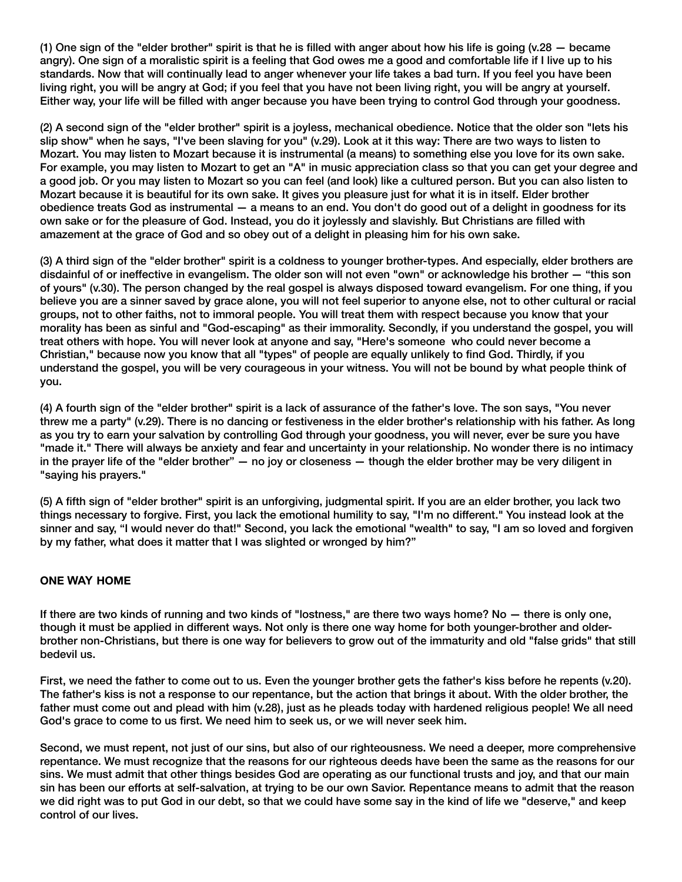(1) One sign of the "elder brother" spirit is that he is filled with anger about how his life is going (v.28 — became angry). One sign of a moralistic spirit is a feeling that God owes me a good and comfortable life if I live up to his standards. Now that will continually lead to anger whenever your life takes a bad turn. If you feel you have been living right, you will be angry at God; if you feel that you have not been living right, you will be angry at yourself. Either way, your life will be filled with anger because you have been trying to control God through your goodness.

(2) A second sign of the "elder brother" spirit is a joyless, mechanical obedience. Notice that the older son "lets his slip show" when he says, "I've been slaving for you" (v.29). Look at it this way: There are two ways to listen to Mozart. You may listen to Mozart because it is instrumental (a means) to something else you love for its own sake. For example, you may listen to Mozart to get an "A" in music appreciation class so that you can get your degree and a good job. Or you may listen to Mozart so you can feel (and look) like a cultured person. But you can also listen to Mozart because it is beautiful for its own sake. It gives you pleasure just for what it is in itself. Elder brother obedience treats God as instrumental — a means to an end. You don't do good out of a delight in goodness for its own sake or for the pleasure of God. Instead, you do it joylessly and slavishly. But Christians are filled with amazement at the grace of God and so obey out of a delight in pleasing him for his own sake.

(3) A third sign of the "elder brother" spirit is a coldness to younger brother-types. And especially, elder brothers are disdainful of or ineffective in evangelism. The older son will not even "own" or acknowledge his brother — "this son of yours" (v.30). The person changed by the real gospel is always disposed toward evangelism. For one thing, if you believe you are a sinner saved by grace alone, you will not feel superior to anyone else, not to other cultural or racial groups, not to other faiths, not to immoral people. You will treat them with respect because you know that your morality has been as sinful and "God-escaping" as their immorality. Secondly, if you understand the gospel, you will treat others with hope. You will never look at anyone and say, "Here's someone who could never become a Christian," because now you know that all "types" of people are equally unlikely to find God. Thirdly, if you understand the gospel, you will be very courageous in your witness. You will not be bound by what people think of you.

(4) A fourth sign of the "elder brother" spirit is a lack of assurance of the father's love. The son says, "You never threw me a party" (v.29). There is no dancing or festiveness in the elder brother's relationship with his father. As long as you try to earn your salvation by controlling God through your goodness, you will never, ever be sure you have "made it." There will always be anxiety and fear and uncertainty in your relationship. No wonder there is no intimacy in the prayer life of the "elder brother" — no joy or closeness — though the elder brother may be very diligent in "saying his prayers."

(5) A fifth sign of "elder brother" spirit is an unforgiving, judgmental spirit. If you are an elder brother, you lack two things necessary to forgive. First, you lack the emotional humility to say, "I'm no different." You instead look at the sinner and say, "I would never do that!" Second, you lack the emotional "wealth" to say, "I am so loved and forgiven by my father, what does it matter that I was slighted or wronged by him?"

## **ONE WAY HOME**

If there are two kinds of running and two kinds of "lostness," are there two ways home? No — there is only one, though it must be applied in different ways. Not only is there one way home for both younger-brother and olderbrother non-Christians, but there is one way for believers to grow out of the immaturity and old "false grids" that still bedevil us.

First, we need the father to come out to us. Even the younger brother gets the father's kiss before he repents (v.20). The father's kiss is not a response to our repentance, but the action that brings it about. With the older brother, the father must come out and plead with him (v.28), just as he pleads today with hardened religious people! We all need God's grace to come to us first. We need him to seek us, or we will never seek him.

Second, we must repent, not just of our sins, but also of our righteousness. We need a deeper, more comprehensive repentance. We must recognize that the reasons for our righteous deeds have been the same as the reasons for our sins. We must admit that other things besides God are operating as our functional trusts and joy, and that our main sin has been our efforts at self-salvation, at trying to be our own Savior. Repentance means to admit that the reason we did right was to put God in our debt, so that we could have some say in the kind of life we "deserve," and keep control of our lives.